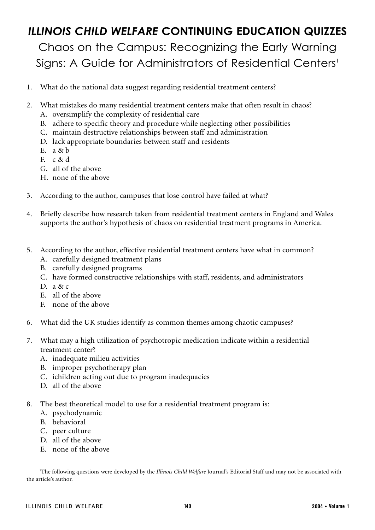# *ILLINOIS CHILD WELFARE* **CONTINUING EDUCATION QUIZZES**

Chaos on the Campus: Recognizing the Early Warning Signs: A Guide for Administrators of Residential Centers<sup>1</sup>

- 1. What do the national data suggest regarding residential treatment centers?
- 2. What mistakes do many residential treatment centers make that often result in chaos?
	- A. oversimplify the complexity of residential care
	- B. adhere to specific theory and procedure while neglecting other possibilities
	- C. maintain destructive relationships between staff and administration
	- D. lack appropriate boundaries between staff and residents
	- E.  $a & b$
	- F. c & d
	- G. all of the above
	- H. none of the above
- 3. According to the author, campuses that lose control have failed at what?
- 4. Briefly describe how research taken from residential treatment centers in England and Wales supports the author's hypothesis of chaos on residential treatment programs in America.
- 5. According to the author, effective residential treatment centers have what in common?
	- A. carefully designed treatment plans
	- B. carefully designed programs
	- C. have formed constructive relationships with staff, residents, and administrators
	- D. a & c
	- E. all of the above
	- F. none of the above
- 6. What did the UK studies identify as common themes among chaotic campuses?
- 7. What may a high utilization of psychotropic medication indicate within a residential treatment center?
	- A. inadequate milieu activities
	- B. improper psychotherapy plan
	- C. ichildren acting out due to program inadequacies
	- D. all of the above
- 8. The best theoretical model to use for a residential treatment program is:
	- A. psychodynamic
	- B. behavioral
	- C. peer culture
	- D. all of the above
	- E. none of the above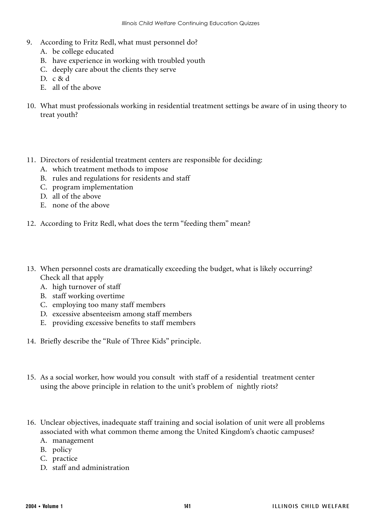- 9. According to Fritz Redl, what must personnel do?
	- A. be college educated
	- B. have experience in working with troubled youth
	- C. deeply care about the clients they serve
	- D. c & d
	- E. all of the above
- 10. What must professionals working in residential treatment settings be aware of in using theory to treat youth?
- 11. Directors of residential treatment centers are responsible for deciding:
	- A. which treatment methods to impose
	- B. rules and regulations for residents and staff
	- C. program implementation
	- D. all of the above
	- E. none of the above
- 12. According to Fritz Redl, what does the term "feeding them" mean?
- 13. When personnel costs are dramatically exceeding the budget, what is likely occurring? Check all that apply
	- A. high turnover of staff
	- B. staff working overtime
	- C. employing too many staff members
	- D. excessive absenteeism among staff members
	- E. providing excessive benefits to staff members
- 14. Briefly describe the "Rule of Three Kids" principle.
- 15. As a social worker, how would you consult with staff of a residential treatment center using the above principle in relation to the unit's problem of nightly riots?
- 16. Unclear objectives, inadequate staff training and social isolation of unit were all problems associated with what common theme among the United Kingdom's chaotic campuses?
	- A. management
	- B. policy
	- C. practice
	- D. staff and administration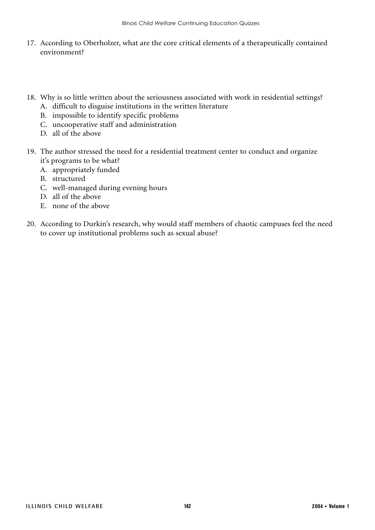- 17. According to Oberholzer, what are the core critical elements of a therapeutically contained environment?
- 18. Why is so little written about the seriousness associated with work in residential settings? A. difficult to disguise institutions in the written literature
	- B. impossible to identify specific problems
	- C. uncooperative staff and administration
	- D. all of the above
- 19. The author stressed the need for a residential treatment center to conduct and organize it's programs to be what?
	- A. appropriately funded
	- B. structured
	- C. well-managed during evening hours
	- D. all of the above
	- E. none of the above
- 20. According to Durkin's research, why would staff members of chaotic campuses feel the need to cover up institutional problems such as sexual abuse?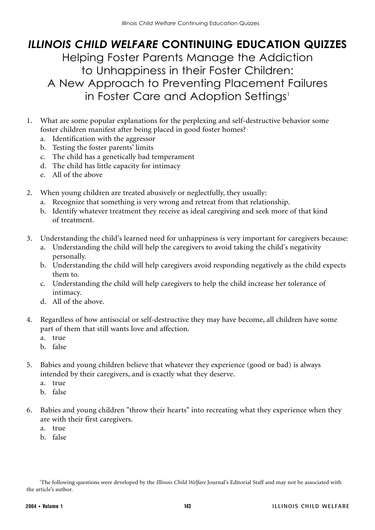# *ILLINOIS CHILD WELFARE* **CONTINUING EDUCATION QUIZZES** Helping Foster Parents Manage the Addiction to Unhappiness in their Foster Children: A New Approach to Preventing Placement Failures in Foster Care and Adoption Settings<sup>1</sup>

- 1. What are some popular explanations for the perplexing and self-destructive behavior some foster children manifest after being placed in good foster homes?
	- a. Identification with the aggressor
	- b. Testing the foster parents' limits
	- c. The child has a genetically bad temperament
	- d. The child has little capacity for intimacy
	- e. All of the above
- 2. When young children are treated abusively or neglectfully, they usually:
	- a. Recognize that something is very wrong and retreat from that relationship.
	- b. Identify whatever treatment they receive as ideal caregiving and seek more of that kind of treatment.
- 3. Understanding the child's learned need for unhappiness is very important for caregivers because:
	- a. Understanding the child will help the caregivers to avoid taking the child's negativity personally.
	- b. Understanding the child will help caregivers avoid responding negatively as the child expects them to.
	- c. Understanding the child will help caregivers to help the child increase her tolerance of intimacy.
	- d. All of the above.
- 4. Regardless of how antisocial or self-destructive they may have become, all children have some part of them that still wants love and affection.
	- a. true
	- b. false
- 5. Babies and young children believe that whatever they experience (good or bad) is always intended by their caregivers, and is exactly what they deserve.
	- a. true
	- b. false
- 6. Babies and young children "throw their hearts" into recreating what they experience when they are with their first caregivers.
	- a. true
	- b. false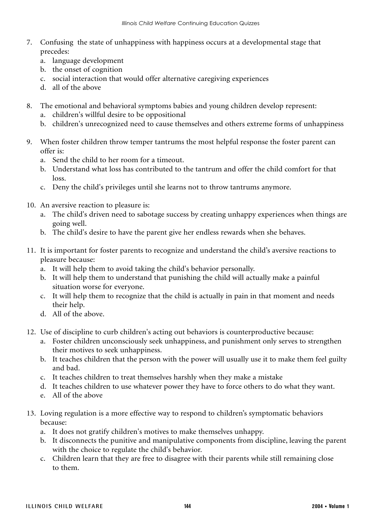- 7. Confusing the state of unhappiness with happiness occurs at a developmental stage that precedes:
	- a. language development
	- b. the onset of cognition
	- c. social interaction that would offer alternative caregiving experiences
	- d. all of the above
- 8. The emotional and behavioral symptoms babies and young children develop represent:
	- a. children's willful desire to be oppositional
	- b. children's unrecognized need to cause themselves and others extreme forms of unhappiness
- 9. When foster children throw temper tantrums the most helpful response the foster parent can offer is:
	- a. Send the child to her room for a timeout.
	- b. Understand what loss has contributed to the tantrum and offer the child comfort for that loss.
	- c. Deny the child's privileges until she learns not to throw tantrums anymore.
- 10. An aversive reaction to pleasure is:
	- a. The child's driven need to sabotage success by creating unhappy experiences when things are going well.
	- b. The child's desire to have the parent give her endless rewards when she behaves.
- 11. It is important for foster parents to recognize and understand the child's aversive reactions to pleasure because:
	- a. It will help them to avoid taking the child's behavior personally.
	- b. It will help them to understand that punishing the child will actually make a painful situation worse for everyone.
	- c. It will help them to recognize that the child is actually in pain in that moment and needs their help.
	- d. All of the above.
- 12. Use of discipline to curb children's acting out behaviors is counterproductive because:
	- a. Foster children unconsciously seek unhappiness, and punishment only serves to strengthen their motives to seek unhappiness.
	- b. It teaches children that the person with the power will usually use it to make them feel guilty and bad.
	- c. It teaches children to treat themselves harshly when they make a mistake
	- d. It teaches children to use whatever power they have to force others to do what they want.
	- e. All of the above
- 13. Loving regulation is a more effective way to respond to children's symptomatic behaviors because:
	- a. It does not gratify children's motives to make themselves unhappy.
	- b. It disconnects the punitive and manipulative components from discipline, leaving the parent with the choice to regulate the child's behavior.
	- c. Children learn that they are free to disagree with their parents while still remaining close to them.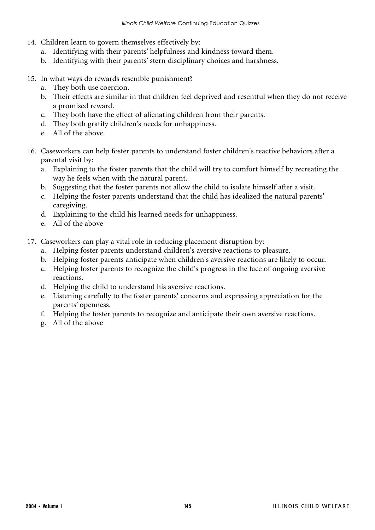- 14. Children learn to govern themselves effectively by:
	- a. Identifying with their parents' helpfulness and kindness toward them.
	- b. Identifying with their parents' stern disciplinary choices and harshness.
- 15. In what ways do rewards resemble punishment?
	- a. They both use coercion.
	- b. Their effects are similar in that children feel deprived and resentful when they do not receive a promised reward.
	- c. They both have the effect of alienating children from their parents.
	- d. They both gratify children's needs for unhappiness.
	- e. All of the above.
- 16. Caseworkers can help foster parents to understand foster children's reactive behaviors after a parental visit by:
	- a. Explaining to the foster parents that the child will try to comfort himself by recreating the way he feels when with the natural parent.
	- b. Suggesting that the foster parents not allow the child to isolate himself after a visit.
	- c. Helping the foster parents understand that the child has idealized the natural parents' caregiving.
	- d. Explaining to the child his learned needs for unhappiness.
	- e. All of the above
- 17. Caseworkers can play a vital role in reducing placement disruption by:
	- a. Helping foster parents understand children's aversive reactions to pleasure.
	- b. Helping foster parents anticipate when children's aversive reactions are likely to occur.
	- c. Helping foster parents to recognize the child's progress in the face of ongoing aversive reactions.
	- d. Helping the child to understand his aversive reactions.
	- e. Listening carefully to the foster parents' concerns and expressing appreciation for the parents' openness.
	- f. Helping the foster parents to recognize and anticipate their own aversive reactions.
	- g. All of the above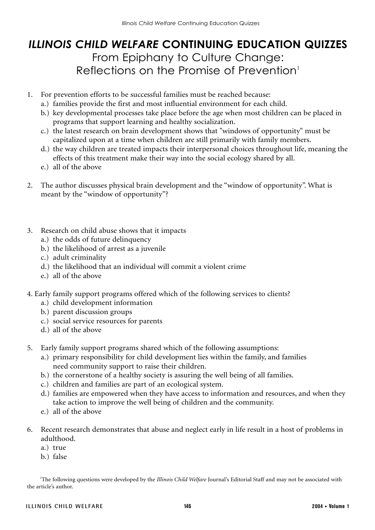### *ILLINOIS CHILD WELFARE* **CONTINUING EDUCATION QUIZZES** From Epiphany to Culture Change: Reflections on the Promise of Prevention<sup>1</sup>

- 1. For prevention efforts to be successful families must be reached because:
	- a.) families provide the first and most influential environment for each child.
	- b.) key developmental processes take place before the age when most children can be placed in programs that support learning and healthy socialization.
	- c.) the latest research on brain development shows that "windows of opportunity" must be capitalized upon at a time when children are still primarily with family members.
	- d.) the way children are treated impacts their interpersonal choices throughout life, meaning the effects of this treatment make their way into the social ecology shared by all.
	- e.) all of the above
- 2. The author discusses physical brain development and the "window of opportunity". What is meant by the "window of opportunity"?
- 3. Research on child abuse shows that it impacts
	- a.) the odds of future delinquency
	- b.) the likelihood of arrest as a juvenile
	- c.) adult criminality
	- d.) the likelihood that an individual will commit a violent crime
	- e.) all of the above
- 4. Early family support programs offered which of the following services to clients?
	- a.) child development information
	- b.) parent discussion groups
	- c.) social service resources for parents
	- d.) all of the above
- 5. Early family support programs shared which of the following assumptions:
	- a.) primary responsibility for child development lies within the family, and families need community support to raise their children.
	- b.) the cornerstone of a healthy society is assuring the well being of all families.
	- c.) children and families are part of an ecological system.
	- d.) families are empowered when they have access to information and resources, and when they take action to improve the well being of children and the community.
	- e.) all of the above
- 6. Recent research demonstrates that abuse and neglect early in life result in a host of problems in adulthood.
	- a.) true
	- b.) false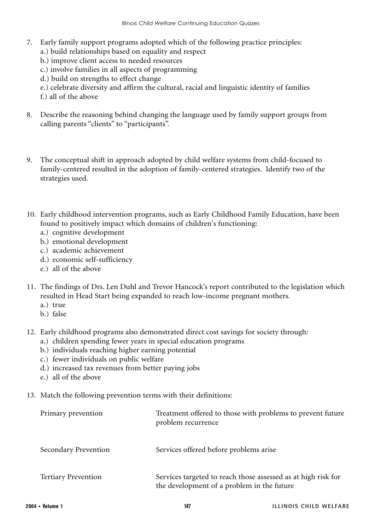- 7. Early family support programs adopted which of the following practice principles:
	- a.) build relationships based on equality and respect
	- b.) improve client access to needed resources
	- c.) involve families in all aspects of programming
	- d.) build on strengths to effect change
	- e.) celebrate diversity and affirm the cultural, racial and linguistic identity of families
	- f.) all of the above
- 8. Describe the reasoning behind changing the language used by family support groups from calling parents "clients" to "participants".
- 9. The conceptual shift in approach adopted by child welfare systems from child-focused to family-centered resulted in the adoption of family-centered strategies. Identify two of the strategies used.
- 10. Early childhood intervention programs, such as Early Childhood Family Education, have been found to positively impact which domains of children's functioning:
	- a.) cognitive development
	- b.) emotional development
	- c.) academic achievement
	- d.) economic self-sufficiency
	- e.) all of the above
- 11. The findings of Drs. Len Duhl and Trevor Hancock's report contributed to the legislation which resulted in Head Start being expanded to reach low-income pregnant mothers.
	- a.) true
	- b.) false
- 12. Early childhood programs also demonstrated direct cost savings for society through:
	- a.) children spending fewer years in special education programs
	- b.) individuals reaching higher earning potential
	- c.) fewer individuals on public welfare
	- d.) increased tax revenues from better paying jobs
	- e.) all of the above
- 13. Match the following prevention terms with their definitions:

| Primary prevention         | Treatment offered to those with problems to prevent future<br>problem recurrence                            |
|----------------------------|-------------------------------------------------------------------------------------------------------------|
| Secondary Prevention       | Services offered before problems arise                                                                      |
| <b>Tertiary Prevention</b> | Services targeted to reach those assessed as at high risk for<br>the development of a problem in the future |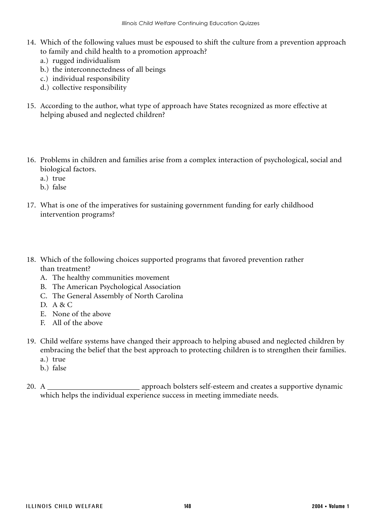- 14. Which of the following values must be espoused to shift the culture from a prevention approach to family and child health to a promotion approach?
	- a.) rugged individualism
	- b.) the interconnectedness of all beings
	- c.) individual responsibility
	- d.) collective responsibility
- 15. According to the author, what type of approach have States recognized as more effective at helping abused and neglected children?
- 16. Problems in children and families arise from a complex interaction of psychological, social and biological factors.
	- a.) true
	- b.) false
- 17. What is one of the imperatives for sustaining government funding for early childhood intervention programs?
- 18. Which of the following choices supported programs that favored prevention rather than treatment?
	- A. The healthy communities movement
	- B. The American Psychological Association
	- C. The General Assembly of North Carolina
	- D. A & C
	- E. None of the above
	- F. All of the above
- 19. Child welfare systems have changed their approach to helping abused and neglected children by embracing the belief that the best approach to protecting children is to strengthen their families.
	- a.) true
	- b.) false
- 20. A approach bolsters self-esteem and creates a supportive dynamic which helps the individual experience success in meeting immediate needs.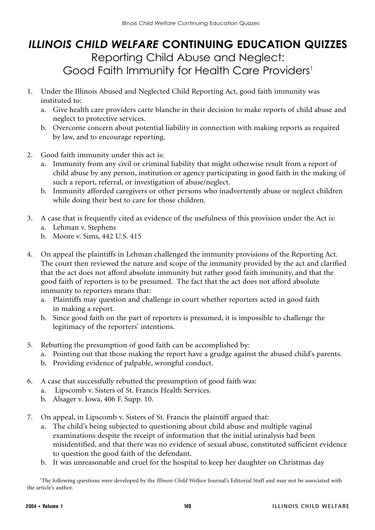# *ILLINOIS CHILD WELFARE* **CONTINUING EDUCATION QUIZZES** Reporting Child Abuse and Neglect: Good Faith Immunity for Health Care Providers<sup>1</sup>

- 1. Under the Illinois Abused and Neglected Child Reporting Act, good faith immunity was instituted to:
	- a. Give health care providers carte blanche in their decision to make reports of child abuse and neglect to protective services.
	- b. Overcome concern about potential liability in connection with making reports as required by law, and to encourage reporting.
- 2. Good faith immunity under this act is:
	- a. Immunity from any civil or criminal liability that might otherwise result from a report of child abuse by any person, institution or agency participating in good faith in the making of such a report, referral, or investigation of abuse/neglect.
	- b. Immunity afforded caregivers or other persons who inadvertently abuse or neglect children while doing their best to care for those children.
- 3. A case that is frequently cited as evidence of the usefulness of this provision under the Act is: a. Lehman v. Stephens
	- b. Moore v. Sims, 442 U.S. 415
- 4. On appeal the plaintiffs in Lehman challenged the immunity provisions of the Reporting Act. The court then reviewed the nature and scope of the immunity provided by the act and clarified that the act does not afford absolute immunity but rather good faith immunity, and that the good faith of reporters is to be presumed. The fact that the act does not afford absolute immunity to reporters means that:
	- a. Plaintiffs may question and challenge in court whether reporters acted in good faith in making a report.
	- b. Since good faith on the part of reporters is presumed, it is impossible to challenge the legitimacy of the reporters' intentions.
- 5. Rebutting the presumption of good faith can be accomplished by:
	- a. Pointing out that those making the report have a grudge against the abused child's parents.
	- b. Providing evidence of palpable, wrongful conduct.
- 6. A case that successfully rebutted the presumption of good faith was:
	- a. Lipscomb v. Sisters of St. Francis Health Services.
	- b. Alsager v. Iowa, 406 F. Supp. 10.
- 7. On appeal, in Lipscomb v. Sisters of St. Francis the plaintiff argued that:
	- a. The child's being subjected to questioning about child abuse and multiple vaginal examinations despite the receipt of information that the initial urinalysis had been misidentified, and that there was no evidence of sexual abuse, constituted sufficient evidence to question the good faith of the defendant.
	- b. It was unreasonable and cruel for the hospital to keep her daughter on Christmas day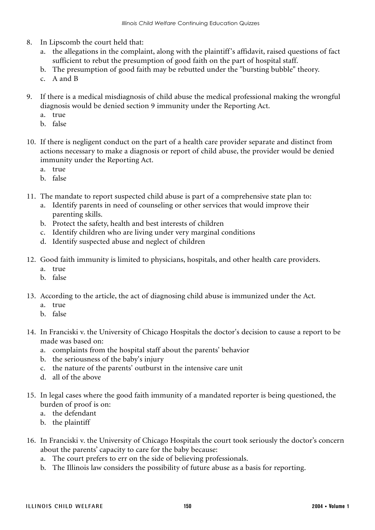- 8. In Lipscomb the court held that:
	- a. the allegations in the complaint, along with the plaintiff 's affidavit, raised questions of fact sufficient to rebut the presumption of good faith on the part of hospital staff.
	- b. The presumption of good faith may be rebutted under the "bursting bubble" theory.
	- c. A and B
- 9. If there is a medical misdiagnosis of child abuse the medical professional making the wrongful diagnosis would be denied section 9 immunity under the Reporting Act.
	- a. true
	- b. false
- 10. If there is negligent conduct on the part of a health care provider separate and distinct from actions necessary to make a diagnosis or report of child abuse, the provider would be denied immunity under the Reporting Act.
	- a. true
	- b. false
- 11. The mandate to report suspected child abuse is part of a comprehensive state plan to:
	- a. Identify parents in need of counseling or other services that would improve their parenting skills.
	- b. Protect the safety, health and best interests of children
	- c. Identify children who are living under very marginal conditions
	- d. Identify suspected abuse and neglect of children
- 12. Good faith immunity is limited to physicians, hospitals, and other health care providers.
	- a. true
	- b. false
- 13. According to the article, the act of diagnosing child abuse is immunized under the Act.
	- a. true
	- b. false
- 14. In Franciski v. the University of Chicago Hospitals the doctor's decision to cause a report to be made was based on:
	- a. complaints from the hospital staff about the parents' behavior
	- b. the seriousness of the baby's injury
	- c. the nature of the parents' outburst in the intensive care unit
	- d. all of the above
- 15. In legal cases where the good faith immunity of a mandated reporter is being questioned, the burden of proof is on:
	- a. the defendant
	- b. the plaintiff
- 16. In Franciski v. the University of Chicago Hospitals the court took seriously the doctor's concern about the parents' capacity to care for the baby because:
	- a. The court prefers to err on the side of believing professionals.
	- b. The Illinois law considers the possibility of future abuse as a basis for reporting.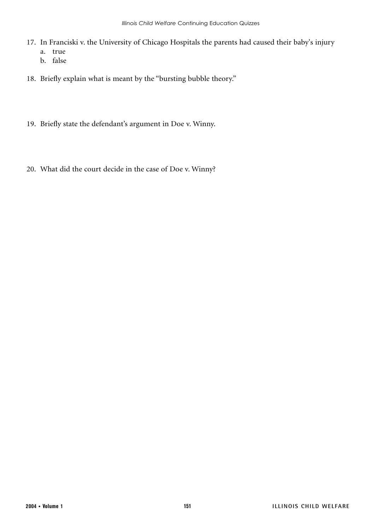- 17. In Franciski v. the University of Chicago Hospitals the parents had caused their baby's injury
	- a. true
	- b. false
- 18. Briefly explain what is meant by the "bursting bubble theory."
- 19. Briefly state the defendant's argument in Doe v. Winny.
- 20. What did the court decide in the case of Doe v. Winny?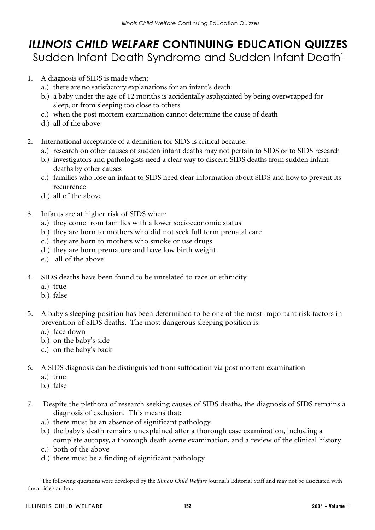# *ILLINOIS CHILD WELFARE* **CONTINUING EDUCATION QUIZZES** Sudden Infant Death Syndrome and Sudden Infant Death<sup>1</sup>

- 1. A diagnosis of SIDS is made when:
	- a.) there are no satisfactory explanations for an infant's death
	- b.) a baby under the age of 12 months is accidentally asphyxiated by being overwrapped for sleep, or from sleeping too close to others
	- c.) when the post mortem examination cannot determine the cause of death
	- d.) all of the above
- 2. International acceptance of a definition for SIDS is critical because:
	- a.) research on other causes of sudden infant deaths may not pertain to SIDS or to SIDS research
	- b.) investigators and pathologists need a clear way to discern SIDS deaths from sudden infant deaths by other causes
	- c.) families who lose an infant to SIDS need clear information about SIDS and how to prevent its recurrence
	- d.) all of the above
- 3. Infants are at higher risk of SIDS when:
	- a.) they come from families with a lower socioeconomic status
	- b.) they are born to mothers who did not seek full term prenatal care
	- c.) they are born to mothers who smoke or use drugs
	- d.) they are born premature and have low birth weight
	- e.) all of the above
- 4. SIDS deaths have been found to be unrelated to race or ethnicity
	- a.) true
	- b.) false
- 5. A baby's sleeping position has been determined to be one of the most important risk factors in prevention of SIDS deaths. The most dangerous sleeping position is:
	- a.) face down
	- b.) on the baby's side
	- c.) on the baby's back
- 6. A SIDS diagnosis can be distinguished from suffocation via post mortem examination
	- a.) true
	- b.) false
- 7. Despite the plethora of research seeking causes of SIDS deaths, the diagnosis of SIDS remains a diagnosis of exclusion. This means that:
	- a.) there must be an absence of significant pathology
	- b.) the baby's death remains unexplained after a thorough case examination, including a complete autopsy, a thorough death scene examination, and a review of the clinical history
	- c.) both of the above
	- d.) there must be a finding of significant pathology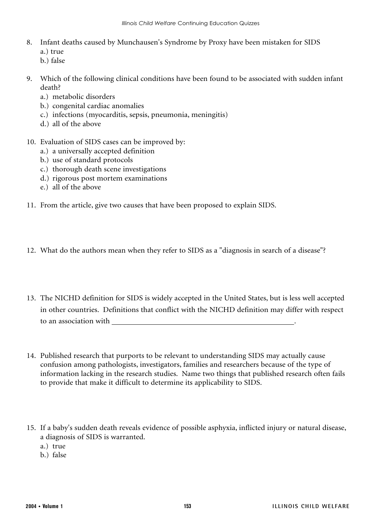- 8. Infant deaths caused by Munchausen's Syndrome by Proxy have been mistaken for SIDS
	- a.) true
	- b.) false
- 9. Which of the following clinical conditions have been found to be associated with sudden infant death?
	- a.) metabolic disorders
	- b.) congenital cardiac anomalies
	- c.) infections (myocarditis, sepsis, pneumonia, meningitis)
	- d.) all of the above
- 10. Evaluation of SIDS cases can be improved by:
	- a.) a universally accepted definition
	- b.) use of standard protocols
	- c.) thorough death scene investigations
	- d.) rigorous post mortem examinations
	- e.) all of the above
- 11. From the article, give two causes that have been proposed to explain SIDS.
- 12. What do the authors mean when they refer to SIDS as a "diagnosis in search of a disease"?
- 13. The NICHD definition for SIDS is widely accepted in the United States, but is less well accepted in other countries. Definitions that conflict with the NICHD definition may differ with respect to an association with .
- 14. Published research that purports to be relevant to understanding SIDS may actually cause confusion among pathologists, investigators, families and researchers because of the type of information lacking in the research studies. Name two things that published research often fails to provide that make it difficult to determine its applicability to SIDS.
- 15. If a baby's sudden death reveals evidence of possible asphyxia, inflicted injury or natural disease, a diagnosis of SIDS is warranted.
	- a.) true
	- b.) false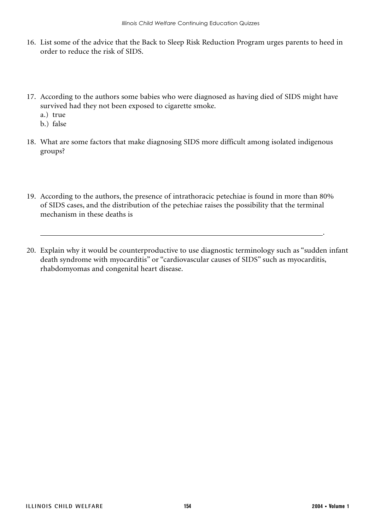- 16. List some of the advice that the Back to Sleep Risk Reduction Program urges parents to heed in order to reduce the risk of SIDS.
- 17. According to the authors some babies who were diagnosed as having died of SIDS might have survived had they not been exposed to cigarette smoke.
	- a.) true
	- b.) false
- 18. What are some factors that make diagnosing SIDS more difficult among isolated indigenous groups?
- 19. According to the authors, the presence of intrathoracic petechiae is found in more than 80% of SIDS cases, and the distribution of the petechiae raises the possibility that the terminal mechanism in these deaths is
- 20. Explain why it would be counterproductive to use diagnostic terminology such as "sudden infant death syndrome with myocarditis" or "cardiovascular causes of SIDS" such as myocarditis, rhabdomyomas and congenital heart disease.

.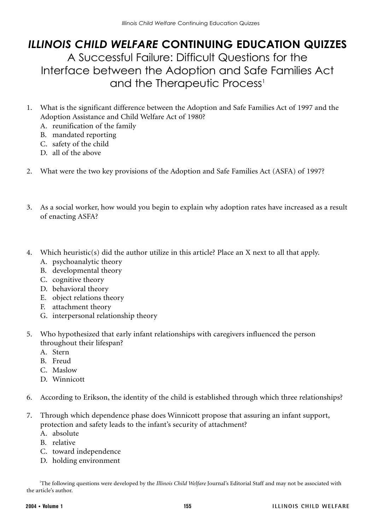## *ILLINOIS CHILD WELFARE* **CONTINUING EDUCATION QUIZZES** A Successful Failure: Difficult Questions for the Interface between the Adoption and Safe Families Act and the Therapeutic Process<sup>1</sup>

- 1. What is the significant difference between the Adoption and Safe Families Act of 1997 and the Adoption Assistance and Child Welfare Act of 1980?
	- A. reunification of the family
	- B. mandated reporting
	- C. safety of the child
	- D. all of the above
- 2. What were the two key provisions of the Adoption and Safe Families Act (ASFA) of 1997?
- 3. As a social worker, how would you begin to explain why adoption rates have increased as a result of enacting ASFA?
- 4. Which heuristic(s) did the author utilize in this article? Place an X next to all that apply.
	- A. psychoanalytic theory
	- B. developmental theory
	- C. cognitive theory
	- D. behavioral theory
	- E. object relations theory
	- F. attachment theory
	- G. interpersonal relationship theory
- 5. Who hypothesized that early infant relationships with caregivers influenced the person throughout their lifespan?
	- A. Stern
	- B. Freud
	- C. Maslow
	- D. Winnicott
- 6. According to Erikson, the identity of the child is established through which three relationships?
- 7. Through which dependence phase does Winnicott propose that assuring an infant support, protection and safety leads to the infant's security of attachment?
	- A. absolute
	- B. relative
	- C. toward independence
	- D. holding environment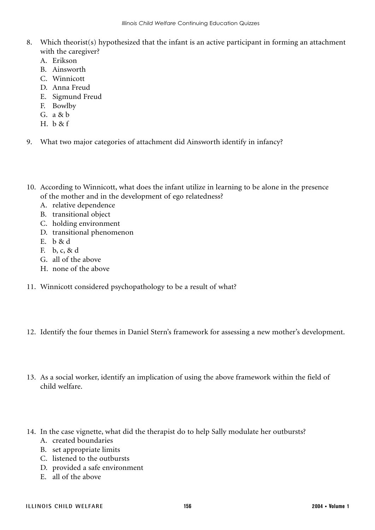- 8. Which theorist(s) hypothesized that the infant is an active participant in forming an attachment with the caregiver?
	- A. Erikson
	- B. Ainsworth
	- C. Winnicott
	- D. Anna Freud
	- E. Sigmund Freud
	- F. Bowlby
	- G. a & b
	- H. b & f
- 9. What two major categories of attachment did Ainsworth identify in infancy?
- 10. According to Winnicott, what does the infant utilize in learning to be alone in the presence of the mother and in the development of ego relatedness?
	- A. relative dependence
	- B. transitional object
	- C. holding environment
	- D. transitional phenomenon
	- E. b & d
	- F. b, c, & d
	- G. all of the above
	- H. none of the above
- 11. Winnicott considered psychopathology to be a result of what?
- 12. Identify the four themes in Daniel Stern's framework for assessing a new mother's development.
- 13. As a social worker, identify an implication of using the above framework within the field of child welfare.
- 14. In the case vignette, what did the therapist do to help Sally modulate her outbursts?
	- A. created boundaries
	- B. set appropriate limits
	- C. listened to the outbursts
	- D. provided a safe environment
	- E. all of the above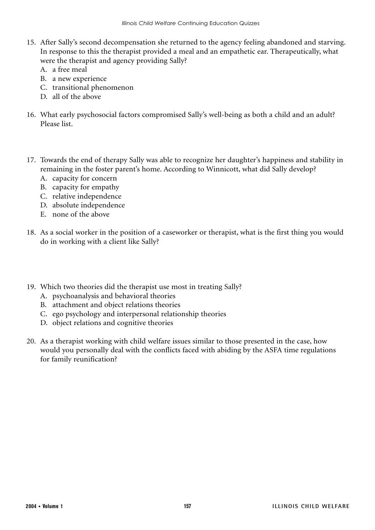- 15. After Sally's second decompensation she returned to the agency feeling abandoned and starving. In response to this the therapist provided a meal and an empathetic ear. Therapeutically, what were the therapist and agency providing Sally?
	- A. a free meal
	- B. a new experience
	- C. transitional phenomenon
	- D. all of the above
- 16. What early psychosocial factors compromised Sally's well-being as both a child and an adult? Please list.
- 17. Towards the end of therapy Sally was able to recognize her daughter's happiness and stability in remaining in the foster parent's home. According to Winnicott, what did Sally develop?
	- A. capacity for concern
	- B. capacity for empathy
	- C. relative independence
	- D. absolute independence
	- E. none of the above
- 18. As a social worker in the position of a caseworker or therapist, what is the first thing you would do in working with a client like Sally?
- 19. Which two theories did the therapist use most in treating Sally?
	- A. psychoanalysis and behavioral theories
	- B. attachment and object relations theories
	- C. ego psychology and interpersonal relationship theories
	- D. object relations and cognitive theories
- 20. As a therapist working with child welfare issues similar to those presented in the case, how would you personally deal with the conflicts faced with abiding by the ASFA time regulations for family reunification?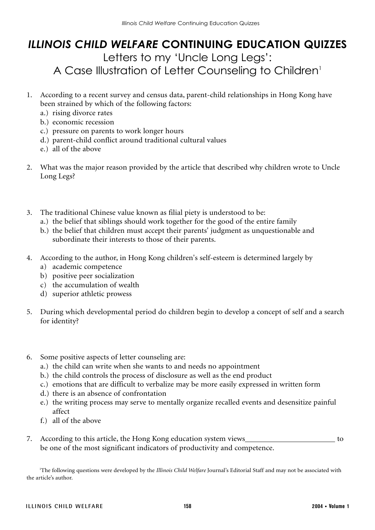# *ILLINOIS CHILD WELFARE* **CONTINUING EDUCATION QUIZZES** Letters to my 'Uncle Long Legs': A Case Illustration of Letter Counseling to Children<sup>1</sup>

- 1. According to a recent survey and census data, parent-child relationships in Hong Kong have been strained by which of the following factors:
	- a.) rising divorce rates
	- b.) economic recession
	- c.) pressure on parents to work longer hours
	- d.) parent-child conflict around traditional cultural values
	- e.) all of the above
- 2. What was the major reason provided by the article that described why children wrote to Uncle Long Legs?
- 3. The traditional Chinese value known as filial piety is understood to be:
	- a.) the belief that siblings should work together for the good of the entire family
	- b.) the belief that children must accept their parents' judgment as unquestionable and subordinate their interests to those of their parents.
- 4. According to the author, in Hong Kong children's self-esteem is determined largely by
	- a) academic competence
	- b) positive peer socialization
	- c) the accumulation of wealth
	- d) superior athletic prowess
- 5. During which developmental period do children begin to develop a concept of self and a search for identity?
- 6. Some positive aspects of letter counseling are:
	- a.) the child can write when she wants to and needs no appointment
	- b.) the child controls the process of disclosure as well as the end product
	- c.) emotions that are difficult to verbalize may be more easily expressed in written form
	- d.) there is an absence of confrontation
	- e.) the writing process may serve to mentally organize recalled events and desensitize painful affect
	- f.) all of the above
- 7. According to this article, the Hong Kong education system views to be one of the most significant indicators of productivity and competence.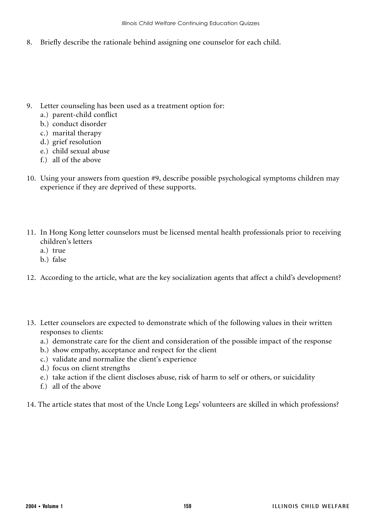8. Briefly describe the rationale behind assigning one counselor for each child.

- 9. Letter counseling has been used as a treatment option for:
	- a.) parent-child conflict
	- b.) conduct disorder
	- c.) marital therapy
	- d.) grief resolution
	- e.) child sexual abuse
	- f.) all of the above
- 10. Using your answers from question #9, describe possible psychological symptoms children may experience if they are deprived of these supports.
- 11. In Hong Kong letter counselors must be licensed mental health professionals prior to receiving children's letters
	- a.) true
	- b.) false
- 12. According to the article, what are the key socialization agents that affect a child's development?
- 13. Letter counselors are expected to demonstrate which of the following values in their written responses to clients:
	- a.) demonstrate care for the client and consideration of the possible impact of the response
	- b.) show empathy, acceptance and respect for the client
	- c.) validate and normalize the client's experience
	- d.) focus on client strengths
	- e.) take action if the client discloses abuse, risk of harm to self or others, or suicidality
	- f.) all of the above
- 14. The article states that most of the Uncle Long Legs' volunteers are skilled in which professions?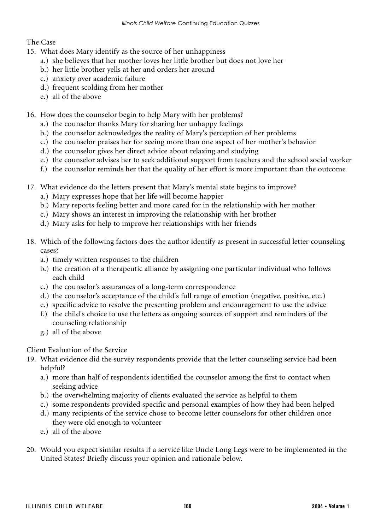#### The Case

- 15. What does Mary identify as the source of her unhappiness
	- a.) she believes that her mother loves her little brother but does not love her
	- b.) her little brother yells at her and orders her around
	- c.) anxiety over academic failure
	- d.) frequent scolding from her mother
	- e.) all of the above

#### 16. How does the counselor begin to help Mary with her problems?

- a.) the counselor thanks Mary for sharing her unhappy feelings
- b.) the counselor acknowledges the reality of Mary's perception of her problems
- c.) the counselor praises her for seeing more than one aspect of her mother's behavior
- d.) the counselor gives her direct advice about relaxing and studying
- e.) the counselor advises her to seek additional support from teachers and the school social worker
- f.) the counselor reminds her that the quality of her effort is more important than the outcome
- 17. What evidence do the letters present that Mary's mental state begins to improve?
	- a.) Mary expresses hope that her life will become happier
	- b.) Mary reports feeling better and more cared for in the relationship with her mother
	- c.) Mary shows an interest in improving the relationship with her brother
	- d.) Mary asks for help to improve her relationships with her friends
- 18. Which of the following factors does the author identify as present in successful letter counseling cases?
	- a.) timely written responses to the children
	- b.) the creation of a therapeutic alliance by assigning one particular individual who follows each child
	- c.) the counselor's assurances of a long-term correspondence
	- d.) the counselor's acceptance of the child's full range of emotion (negative, positive, etc.)
	- e.) specific advice to resolve the presenting problem and encouragement to use the advice
	- f.) the child's choice to use the letters as ongoing sources of support and reminders of the counseling relationship
	- g.) all of the above

Client Evaluation of the Service

- 19. What evidence did the survey respondents provide that the letter counseling service had been helpful?
	- a.) more than half of respondents identified the counselor among the first to contact when seeking advice
	- b.) the overwhelming majority of clients evaluated the service as helpful to them
	- c.) some respondents provided specific and personal examples of how they had been helped
	- d.) many recipients of the service chose to become letter counselors for other children once they were old enough to volunteer
	- e.) all of the above
- 20. Would you expect similar results if a service like Uncle Long Legs were to be implemented in the United States? Briefly discuss your opinion and rationale below.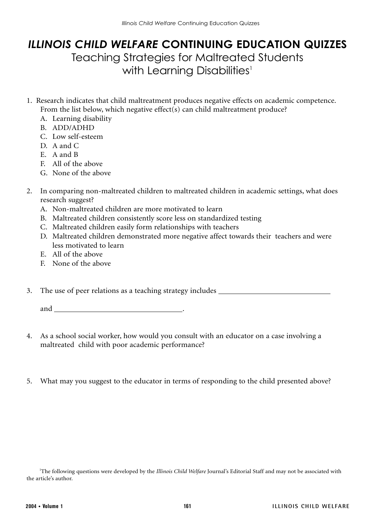# *ILLINOIS CHILD WELFARE* **CONTINUING EDUCATION QUIZZES** Teaching Strategies for Maltreated Students with Learning Disabilities<sup>1</sup>

- 1. Research indicates that child maltreatment produces negative effects on academic competence. From the list below, which negative effect(s) can child maltreatment produce?
	- A. Learning disability
	- B. ADD/ADHD
	- C. Low self-esteem
	- D. A and C
	- E. A and B
	- F. All of the above
	- G. None of the above
- 2. In comparing non-maltreated children to maltreated children in academic settings, what does research suggest?
	- A. Non-maltreated children are more motivated to learn
	- B. Maltreated children consistently score less on standardized testing
	- C. Maltreated children easily form relationships with teachers
	- D. Maltreated children demonstrated more negative affect towards their teachers and were less motivated to learn
	- E. All of the above
	- F. None of the above

3. The use of peer relations as a teaching strategy includes

and .

- 4. As a school social worker, how would you consult with an educator on a case involving a maltreated child with poor academic performance?
- 5. What may you suggest to the educator in terms of responding to the child presented above?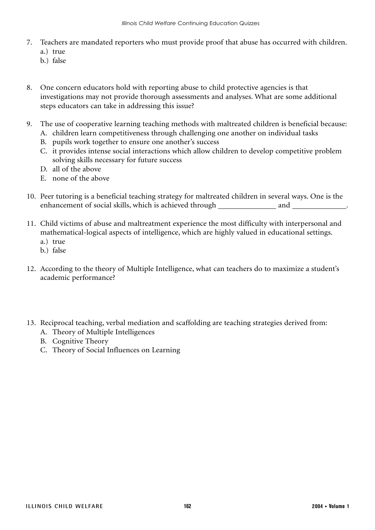- 7. Teachers are mandated reporters who must provide proof that abuse has occurred with children. a.) true
	-
	- b.) false
- 8. One concern educators hold with reporting abuse to child protective agencies is that investigations may not provide thorough assessments and analyses. What are some additional steps educators can take in addressing this issue?
- 9. The use of cooperative learning teaching methods with maltreated children is beneficial because:
	- A. children learn competitiveness through challenging one another on individual tasks
	- B. pupils work together to ensure one another's success
	- C. it provides intense social interactions which allow children to develop competitive problem solving skills necessary for future success
	- D. all of the above
	- E. none of the above
- 10. Peer tutoring is a beneficial teaching strategy for maltreated children in several ways. One is the enhancement of social skills, which is achieved through and .
- 11. Child victims of abuse and maltreatment experience the most difficulty with interpersonal and mathematical-logical aspects of intelligence, which are highly valued in educational settings.
	- a.) true
	- b.) false
- 12. According to the theory of Multiple Intelligence, what can teachers do to maximize a student's academic performance?
- 13. Reciprocal teaching, verbal mediation and scaffolding are teaching strategies derived from:
	- A. Theory of Multiple Intelligences
	- B. Cognitive Theory
	- C. Theory of Social Influences on Learning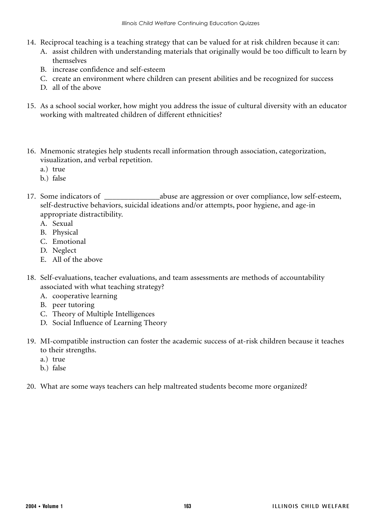- 14. Reciprocal teaching is a teaching strategy that can be valued for at risk children because it can:
	- A. assist children with understanding materials that originally would be too difficult to learn by themselves
		- B. increase confidence and self-esteem
		- C. create an environment where children can present abilities and be recognized for success
		- D. all of the above
- 15. As a school social worker, how might you address the issue of cultural diversity with an educator working with maltreated children of different ethnicities?
- 16. Mnemonic strategies help students recall information through association, categorization, visualization, and verbal repetition.
	- a.) true
	- b.) false
- 17. Some indicators of \_\_\_\_\_\_\_\_\_\_\_\_\_\_\_\_\_abuse are aggression or over compliance, low self-esteem, self-destructive behaviors, suicidal ideations and/or attempts, poor hygiene, and age-in appropriate distractibility.
	- A. Sexual
	- B. Physical
	- C. Emotional
	- D. Neglect
	- E. All of the above
- 18. Self-evaluations, teacher evaluations, and team assessments are methods of accountability associated with what teaching strategy?
	- A. cooperative learning
	- B. peer tutoring
	- C. Theory of Multiple Intelligences
	- D. Social Influence of Learning Theory
- 19. MI-compatible instruction can foster the academic success of at-risk children because it teaches to their strengths.
	- a.) true
	- b.) false
- 20. What are some ways teachers can help maltreated students become more organized?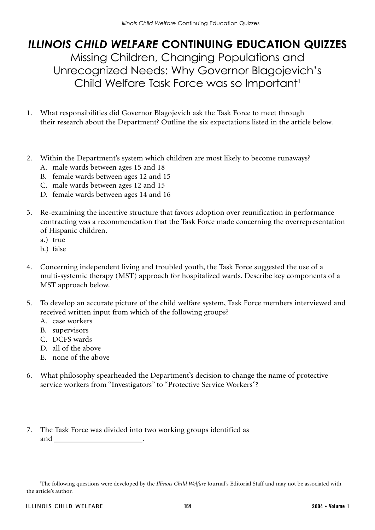# *ILLINOIS CHILD WELFARE* **CONTINUING EDUCATION QUIZZES** Missing Children, Changing Populations and Unrecognized Needs: Why Governor Blagojevich's Child Welfare Task Force was so Important<sup>1</sup>

- 1. What responsibilities did Governor Blagojevich ask the Task Force to meet through their research about the Department? Outline the six expectations listed in the article below.
- 2. Within the Department's system which children are most likely to become runaways?
	- A. male wards between ages 15 and 18
	- B. female wards between ages 12 and 15
	- C. male wards between ages 12 and 15
	- D. female wards between ages 14 and 16
- 3. Re-examining the incentive structure that favors adoption over reunification in performance contracting was a recommendation that the Task Force made concerning the overrepresentation of Hispanic children.
	- a.) true
	- b.) false
- 4. Concerning independent living and troubled youth, the Task Force suggested the use of a multi-systemic therapy (MST) approach for hospitalized wards. Describe key components of a MST approach below.
- 5. To develop an accurate picture of the child welfare system, Task Force members interviewed and received written input from which of the following groups?
	- A. case workers
	- B. supervisors
	- C. DCFS wards
	- D. all of the above
	- E. none of the above
- 6. What philosophy spearheaded the Department's decision to change the name of protective service workers from "Investigators" to "Protective Service Workers"?
- 7. The Task Force was divided into two working groups identified as and .

<sup>&</sup>lt;sup>1</sup>The following questions were developed by the *Illinois Child Welfare* Journal's Editorial Staff and may not be associated with the article's author.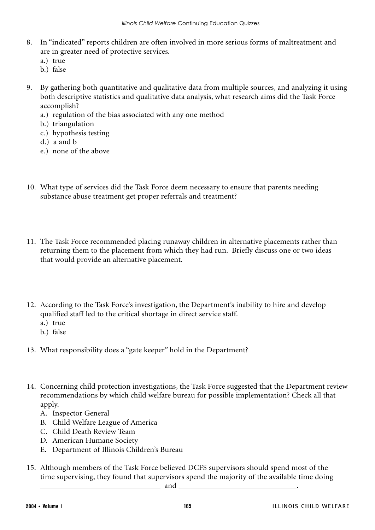- 8. In "indicated" reports children are often involved in more serious forms of maltreatment and are in greater need of protective services.
	- a.) true
	- b.) false
- 9. By gathering both quantitative and qualitative data from multiple sources, and analyzing it using both descriptive statistics and qualitative data analysis, what research aims did the Task Force accomplish?
	- a.) regulation of the bias associated with any one method
	- b.) triangulation
	- c.) hypothesis testing
	- d.) a and b
	- e.) none of the above
- 10. What type of services did the Task Force deem necessary to ensure that parents needing substance abuse treatment get proper referrals and treatment?
- 11. The Task Force recommended placing runaway children in alternative placements rather than returning them to the placement from which they had run. Briefly discuss one or two ideas that would provide an alternative placement.
- 12. According to the Task Force's investigation, the Department's inability to hire and develop qualified staff led to the critical shortage in direct service staff.
	- a.) true
	- b.) false
- 13. What responsibility does a "gate keeper" hold in the Department?
- 14. Concerning child protection investigations, the Task Force suggested that the Department review recommendations by which child welfare bureau for possible implementation? Check all that apply.
	- A. Inspector General
	- B. Child Welfare League of America
	- C. Child Death Review Team
	- D. American Humane Society
	- E. Department of Illinois Children's Bureau
- 15. Although members of the Task Force believed DCFS supervisors should spend most of the time supervising, they found that supervisors spend the majority of the available time doing and .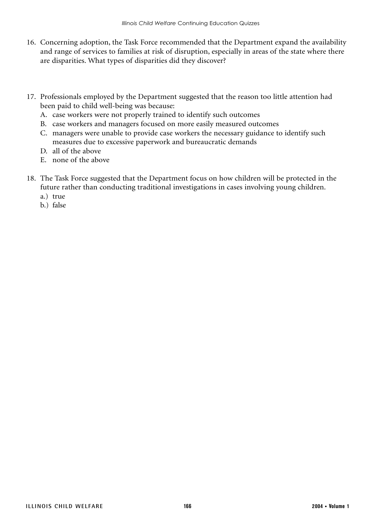- 16. Concerning adoption, the Task Force recommended that the Department expand the availability and range of services to families at risk of disruption, especially in areas of the state where there are disparities. What types of disparities did they discover?
- 17. Professionals employed by the Department suggested that the reason too little attention had been paid to child well-being was because:
	- A. case workers were not properly trained to identify such outcomes
	- B. case workers and managers focused on more easily measured outcomes
	- C. managers were unable to provide case workers the necessary guidance to identify such measures due to excessive paperwork and bureaucratic demands
	- D. all of the above
	- E. none of the above
- 18. The Task Force suggested that the Department focus on how children will be protected in the future rather than conducting traditional investigations in cases involving young children. a.) true
	- b.) false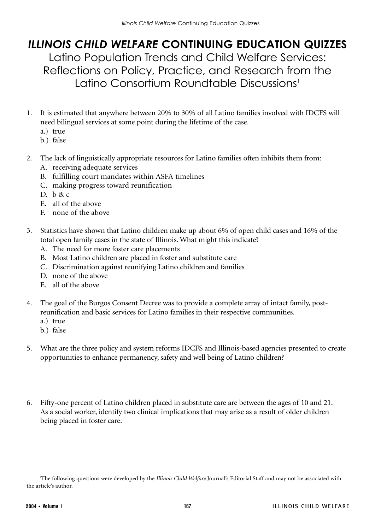## *ILLINOIS CHILD WELFARE* **CONTINUING EDUCATION QUIZZES** Latino Population Trends and Child Welfare Services: Reflections on Policy, Practice, and Research from the Latino Consortium Roundtable Discussions<sup>1</sup>

- 1. It is estimated that anywhere between 20% to 30% of all Latino families involved with IDCFS will need bilingual services at some point during the lifetime of the case.
	- a.) true
	- b.) false
- 2. The lack of linguistically appropriate resources for Latino families often inhibits them from:
	- A. receiving adequate services
	- B. fulfilling court mandates within ASFA timelines
	- C. making progress toward reunification
	- D. b & c
	- E. all of the above
	- F. none of the above
- 3. Statistics have shown that Latino children make up about 6% of open child cases and 16% of the total open family cases in the state of Illinois. What might this indicate?
	- A. The need for more foster care placements
	- B. Most Latino children are placed in foster and substitute care
	- C. Discrimination against reunifying Latino children and families
	- D. none of the above
	- E. all of the above
- 4. The goal of the Burgos Consent Decree was to provide a complete array of intact family, postreunification and basic services for Latino families in their respective communities.
	- a.) true
	- b.) false
- 5. What are the three policy and system reforms IDCFS and Illinois-based agencies presented to create opportunities to enhance permanency, safety and well being of Latino children?
- 6. Fifty-one percent of Latino children placed in substitute care are between the ages of 10 and 21. As a social worker, identify two clinical implications that may arise as a result of older children being placed in foster care.

<sup>&</sup>lt;sup>1</sup>The following questions were developed by the *Illinois Child Welfare* Journal's Editorial Staff and may not be associated with the article's author.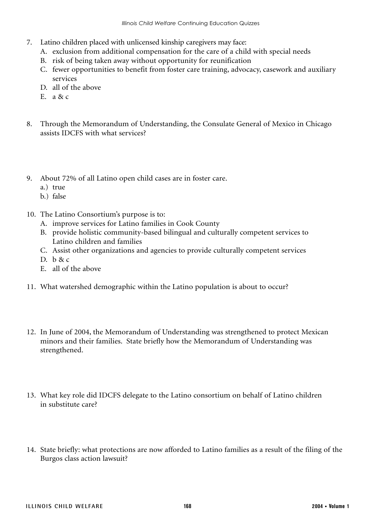- 7. Latino children placed with unlicensed kinship caregivers may face:
	- A. exclusion from additional compensation for the care of a child with special needs
	- B. risk of being taken away without opportunity for reunification
	- C. fewer opportunities to benefit from foster care training, advocacy, casework and auxiliary services
	- D. all of the above
	- E. a & c
- 8. Through the Memorandum of Understanding, the Consulate General of Mexico in Chicago assists IDCFS with what services?
- 9. About 72% of all Latino open child cases are in foster care.
	- a.) true
	- b.) false
- 10. The Latino Consortium's purpose is to:
	- A. improve services for Latino families in Cook County
	- B. provide holistic community-based bilingual and culturally competent services to Latino children and families
	- C. Assist other organizations and agencies to provide culturally competent services
	- D. b & c
	- E. all of the above
- 11. What watershed demographic within the Latino population is about to occur?
- 12. In June of 2004, the Memorandum of Understanding was strengthened to protect Mexican minors and their families. State briefly how the Memorandum of Understanding was strengthened.
- 13. What key role did IDCFS delegate to the Latino consortium on behalf of Latino children in substitute care?
- 14. State briefly: what protections are now afforded to Latino families as a result of the filing of the Burgos class action lawsuit?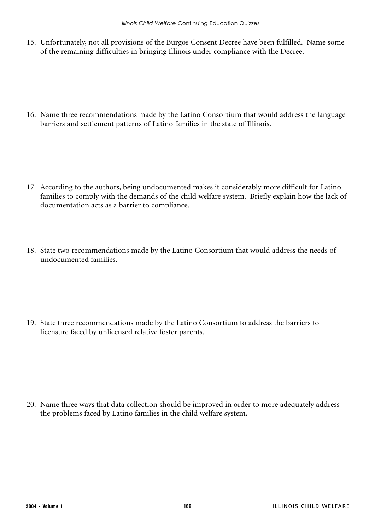15. Unfortunately, not all provisions of the Burgos Consent Decree have been fulfilled. Name some of the remaining difficulties in bringing Illinois under compliance with the Decree.

16. Name three recommendations made by the Latino Consortium that would address the language barriers and settlement patterns of Latino families in the state of Illinois.

- 17. According to the authors, being undocumented makes it considerably more difficult for Latino families to comply with the demands of the child welfare system. Briefly explain how the lack of documentation acts as a barrier to compliance.
- 18. State two recommendations made by the Latino Consortium that would address the needs of undocumented families.

19. State three recommendations made by the Latino Consortium to address the barriers to licensure faced by unlicensed relative foster parents.

20. Name three ways that data collection should be improved in order to more adequately address the problems faced by Latino families in the child welfare system.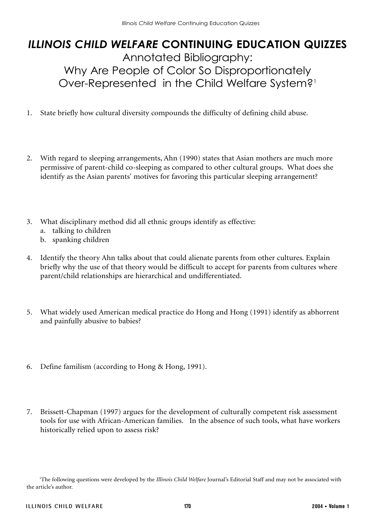# *ILLINOIS CHILD WELFARE* **CONTINUING EDUCATION QUIZZES** Annotated Bibliography: Why Are People of Color So Disproportionately Over-Represented in the Child Welfare System?1

- 1. State briefly how cultural diversity compounds the difficulty of defining child abuse.
- 2. With regard to sleeping arrangements, Ahn (1990) states that Asian mothers are much more permissive of parent-child co-sleeping as compared to other cultural groups. What does she identify as the Asian parents' motives for favoring this particular sleeping arrangement?
- 3. What disciplinary method did all ethnic groups identify as effective:
	- a. talking to children
	- b. spanking children
- 4. Identify the theory Ahn talks about that could alienate parents from other cultures. Explain briefly why the use of that theory would be difficult to accept for parents from cultures where parent/child relationships are hierarchical and undifferentiated.
- 5. What widely used American medical practice do Hong and Hong (1991) identify as abhorrent and painfully abusive to babies?
- 6. Define familism (according to Hong & Hong, 1991).
- 7. Brissett-Chapman (1997) argues for the development of culturally competent risk assessment tools for use with African-American families. In the absence of such tools, what have workers historically relied upon to assess risk?

<sup>&</sup>lt;sup>1</sup>The following questions were developed by the *Illinois Child Welfare* Journal's Editorial Staff and may not be associated with the article's author.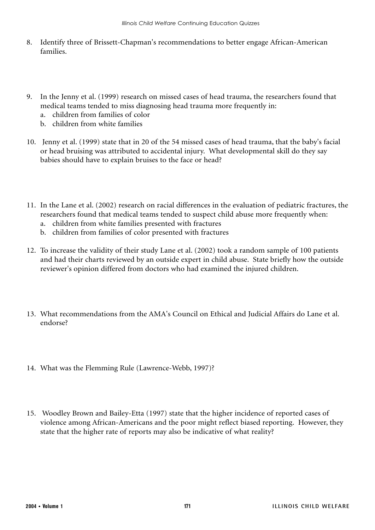- 8. Identify three of Brissett-Chapman's recommendations to better engage African-American families.
- 9. In the Jenny et al. (1999) research on missed cases of head trauma, the researchers found that medical teams tended to miss diagnosing head trauma more frequently in:
	- a. children from families of color
	- b. children from white families
- 10. Jenny et al. (1999) state that in 20 of the 54 missed cases of head trauma, that the baby's facial or head bruising was attributed to accidental injury. What developmental skill do they say babies should have to explain bruises to the face or head?
- 11. In the Lane et al. (2002) research on racial differences in the evaluation of pediatric fractures, the researchers found that medical teams tended to suspect child abuse more frequently when:
	- a. children from white families presented with fractures
	- b. children from families of color presented with fractures
- 12. To increase the validity of their study Lane et al. (2002) took a random sample of 100 patients and had their charts reviewed by an outside expert in child abuse. State briefly how the outside reviewer's opinion differed from doctors who had examined the injured children.
- 13. What recommendations from the AMA's Council on Ethical and Judicial Affairs do Lane et al. endorse?
- 14. What was the Flemming Rule (Lawrence-Webb, 1997)?
- 15. Woodley Brown and Bailey-Etta (1997) state that the higher incidence of reported cases of violence among African-Americans and the poor might reflect biased reporting. However, they state that the higher rate of reports may also be indicative of what reality?